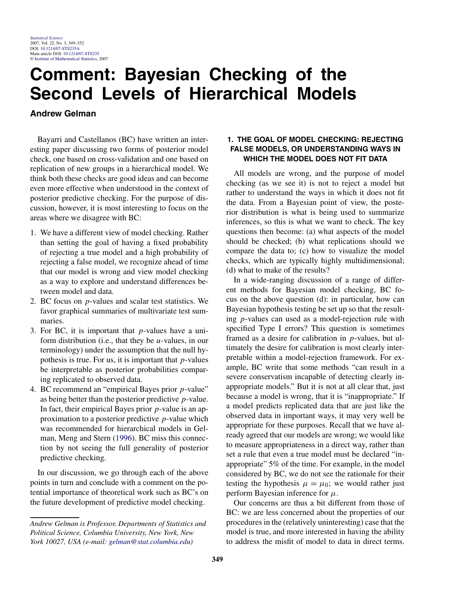# **Comment: Bayesian Checking of the Second Levels of Hierarchical Models**

# **Andrew Gelman**

Bayarri and Castellanos (BC) have written an interesting paper discussing two forms of posterior model check, one based on cross-validation and one based on replication of new groups in a hierarchical model. We think both these checks are good ideas and can become even more effective when understood in the context of posterior predictive checking. For the purpose of discussion, however, it is most interesting to focus on the areas where we disagree with BC:

- 1. We have a different view of model checking. Rather than setting the goal of having a fixed probability of rejecting a true model and a high probability of rejecting a false model, we recognize ahead of time that our model is wrong and view model checking as a way to explore and understand differences between model and data.
- 2. BC focus on *p*-values and scalar test statistics. We favor graphical summaries of multivariate test summaries.
- 3. For BC, it is important that *p*-values have a uniform distribution (i.e., that they be *u*-values, in our terminology) under the assumption that the null hypothesis is true. For us, it is important that *p*-values be interpretable as posterior probabilities comparing replicated to observed data.
- 4. BC recommend an "empirical Bayes prior *p*-value" as being better than the posterior predictive *p*-value. In fact, their empirical Bayes prior *p*-value is an approximation to a posterior predictive *p*-value which was recommended for hierarchical models in Gelman, Meng and Stern [\(1996\)](#page-3-0). BC miss this connection by not seeing the full generality of posterior predictive checking.

In our discussion, we go through each of the above points in turn and conclude with a comment on the potential importance of theoretical work such as BC's on the future development of predictive model checking.

# **1. THE GOAL OF MODEL CHECKING: REJECTING FALSE MODELS, OR UNDERSTANDING WAYS IN WHICH THE MODEL DOES NOT FIT DATA**

All models are wrong, and the purpose of model checking (as we see it) is not to reject a model but rather to understand the ways in which it does not fit the data. From a Bayesian point of view, the posterior distribution is what is being used to summarize inferences, so this is what we want to check. The key questions then become: (a) what aspects of the model should be checked; (b) what replications should we compare the data to; (c) how to visualize the model checks, which are typically highly multidimensional; (d) what to make of the results?

In a wide-ranging discussion of a range of different methods for Bayesian model checking, BC focus on the above question (d): in particular, how can Bayesian hypothesis testing be set up so that the resulting *p*-values can used as a model-rejection rule with specified Type I errors? This question is sometimes framed as a desire for calibration in *p*-values, but ultimately the desire for calibration is most clearly interpretable within a model-rejection framework. For example, BC write that some methods "can result in a severe conservatism incapable of detecting clearly inappropriate models." But it is not at all clear that, just because a model is wrong, that it is "inappropriate." If a model predicts replicated data that are just like the observed data in important ways, it may very well be appropriate for these purposes. Recall that we have already agreed that our models are wrong; we would like to measure appropriateness in a direct way, rather than set a rule that even a true model must be declared "inappropriate" 5% of the time. For example, in the model considered by BC, we do not see the rationale for their testing the hypothesis  $\mu = \mu_0$ ; we would rather just perform Bayesian inference for *μ*.

Our concerns are thus a bit different from those of BC: we are less concerned about the properties of our procedures in the (relatively uninteresting) case that the model is true, and more interested in having the ability to address the misfit of model to data in direct terms.

*Andrew Gelman is Professor, Departments of Statistics and Political Science, Columbia University, New York, New York 10027, USA (e-mail: [gelman@stat.columbia.edu](mailto:gelman@stat.columbia.edu))*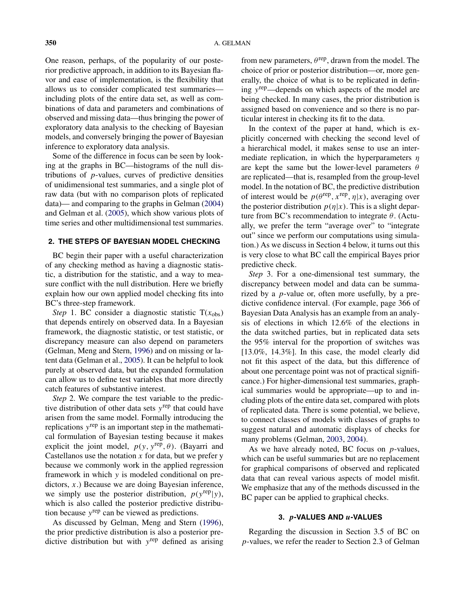One reason, perhaps, of the popularity of our posterior predictive approach, in addition to its Bayesian flavor and ease of implementation, is the flexibility that allows us to consider complicated test summaries including plots of the entire data set, as well as combinations of data and parameters and combinations of observed and missing data—thus bringing the power of exploratory data analysis to the checking of Bayesian models, and conversely bringing the power of Bayesian inference to exploratory data analysis.

Some of the difference in focus can be seen by looking at the graphs in BC—histograms of the null distributions of *p*-values, curves of predictive densities of unidimensional test summaries, and a single plot of raw data (but with no comparison plots of replicated data)— and comparing to the graphs in Gelman [\(2004\)](#page-3-0) and Gelman et al. [\(2005\)](#page-3-0), which show various plots of time series and other multidimensional test summaries.

#### **2. THE STEPS OF BAYESIAN MODEL CHECKING**

BC begin their paper with a useful characterization of any checking method as having a diagnostic statistic, a distribution for the statistic, and a way to measure conflict with the null distribution. Here we briefly explain how our own applied model checking fits into BC's three-step framework.

*Step* 1. BC consider a diagnostic statistic  $T(x_{obs})$ that depends entirely on observed data. In a Bayesian framework, the diagnostic statistic, or test statistic, or discrepancy measure can also depend on parameters (Gelman, Meng and Stern, [1996\)](#page-3-0) and on missing or latent data (Gelman et al., [2005\)](#page-3-0). It can be helpful to look purely at observed data, but the expanded formulation can allow us to define test variables that more directly catch features of substantive interest.

*Step* 2. We compare the test variable to the predictive distribution of other data sets *y*rep that could have arisen from the same model. Formally introducing the replications *y*rep is an important step in the mathematical formulation of Bayesian testing because it makes explicit the joint model,  $p(y, y^{rep}, \theta)$ . (Bayarri and Castellanos use the notation  $x$  for data, but we prefer  $y$ because we commonly work in the applied regression framework in which *y* is modeled conditional on predictors, *x*.) Because we are doing Bayesian inference, we simply use the posterior distribution,  $p(y^{rep}|y)$ , which is also called the posterior predictive distribution because *y*rep can be viewed as predictions.

As discussed by Gelman, Meng and Stern [\(1996\)](#page-3-0), the prior predictive distribution is also a posterior predictive distribution but with *y*rep defined as arising

from new parameters,  $\theta^{\text{rep}}$ , drawn from the model. The choice of prior or posterior distribution—or, more generally, the choice of what is to be replicated in defining *y*rep—depends on which aspects of the model are being checked. In many cases, the prior distribution is assigned based on convenience and so there is no particular interest in checking its fit to the data.

In the context of the paper at hand, which is explicitly concerned with checking the second level of a hierarchical model, it makes sense to use an intermediate replication, in which the hyperparameters *η* are kept the same but the lower-level parameters *θ* are replicated—that is, resampled from the group-level model. In the notation of BC, the predictive distribution of interest would be  $p(\theta^{\text{rep}}, x^{\text{rep}}, \eta | x)$ , averaging over the posterior distribution  $p(\eta|x)$ . This is a slight departure from BC's recommendation to integrate *θ*. (Actually, we prefer the term "average over" to "integrate out" since we perform our computations using simulation.) As we discuss in Section 4 below, it turns out this is very close to what BC call the empirical Bayes prior predictive check.

*Step* 3. For a one-dimensional test summary, the discrepancy between model and data can be summarized by a *p*-value or, often more usefully, by a predictive confidence interval. (For example, page 366 of Bayesian Data Analysis has an example from an analysis of elections in which 12.6% of the elections in the data switched parties, but in replicated data sets the 95% interval for the proportion of switches was [13.0%, 14.3%]. In this case, the model clearly did not fit this aspect of the data, but this difference of about one percentage point was not of practical significance.) For higher-dimensional test summaries, graphical summaries would be appropriate—up to and including plots of the entire data set, compared with plots of replicated data. There is some potential, we believe, to connect classes of models with classes of graphs to suggest natural and automatic displays of checks for many problems (Gelman, [2003,](#page-3-0) [2004\)](#page-3-0).

As we have already noted, BC focus on *p*-values, which can be useful summaries but are no replacement for graphical comparisons of observed and replicated data that can reveal various aspects of model misfit. We emphasize that any of the methods discussed in the BC paper can be applied to graphical checks.

#### **3.** *p***-VALUES AND** *u***-VALUES**

Regarding the discussion in Section 3.5 of BC on *p*-values, we refer the reader to Section 2.3 of Gelman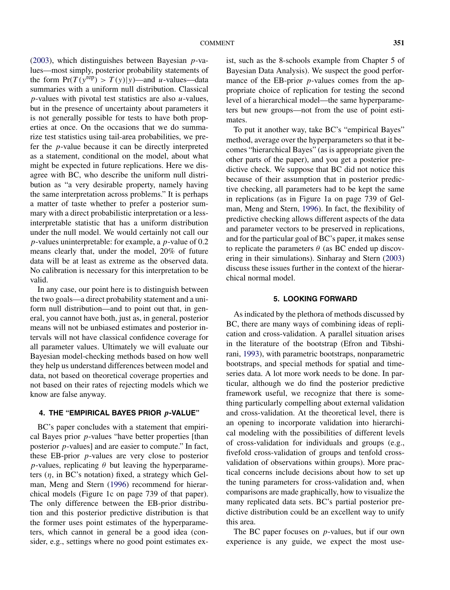[\(2003\)](#page-3-0), which distinguishes between Bayesian *p*-values—most simply, posterior probability statements of the form  $Pr(T(y^{rep}) > T(y)|y)$ —and *u*-values—data summaries with a uniform null distribution. Classical *p*-values with pivotal test statistics are also *u*-values, but in the presence of uncertainty about parameters it is not generally possible for tests to have both properties at once. On the occasions that we do summarize test statistics using tail-area probabilities, we prefer the *p*-value because it can be directly interpreted as a statement, conditional on the model, about what might be expected in future replications. Here we disagree with BC, who describe the uniform null distribution as "a very desirable property, namely having the same interpretation across problems." It is perhaps a matter of taste whether to prefer a posterior summary with a direct probabilistic interpretation or a lessinterpretable statistic that has a uniform distribution under the null model. We would certainly not call our *p*-values uninterpretable: for example, a *p*-value of 0.2 means clearly that, under the model, 20% of future data will be at least as extreme as the observed data. No calibration is necessary for this interpretation to be valid.

In any case, our point here is to distinguish between the two goals—a direct probability statement and a uniform null distribution—and to point out that, in general, you cannot have both, just as, in general, posterior means will not be unbiased estimates and posterior intervals will not have classical confidence coverage for all parameter values. Ultimately we will evaluate our Bayesian model-checking methods based on how well they help us understand differences between model and data, not based on theoretical coverage properties and not based on their rates of rejecting models which we know are false anyway.

#### **4. THE "EMPIRICAL BAYES PRIOR** *p***-VALUE"**

BC's paper concludes with a statement that empirical Bayes prior *p*-values "have better properties [than posterior *p*-values] and are easier to compute." In fact, these EB-prior *p*-values are very close to posterior *p*-values, replicating  $\theta$  but leaving the hyperparameters (*η*, in BC's notation) fixed, a strategy which Gelman, Meng and Stern [\(1996\)](#page-3-0) recommend for hierarchical models (Figure 1c on page 739 of that paper). The only difference between the EB-prior distribution and this posterior predictive distribution is that the former uses point estimates of the hyperparameters, which cannot in general be a good idea (consider, e.g., settings where no good point estimates exist, such as the 8-schools example from Chapter 5 of Bayesian Data Analysis). We suspect the good performance of the EB-prior *p*-values comes from the appropriate choice of replication for testing the second level of a hierarchical model—the same hyperparameters but new groups—not from the use of point estimates.

To put it another way, take BC's "empirical Bayes" method, average over the hyperparameters so that it becomes "hierarchical Bayes" (as is appropriate given the other parts of the paper), and you get a posterior predictive check. We suppose that BC did not notice this because of their assumption that in posterior predictive checking, all parameters had to be kept the same in replications (as in Figure 1a on page 739 of Gelman, Meng and Stern, [1996\)](#page-3-0). In fact, the flexibility of predictive checking allows different aspects of the data and parameter vectors to be preserved in replications, and for the particular goal of BC's paper, it makes sense to replicate the parameters  $\theta$  (as BC ended up discovering in their simulations). Sinharay and Stern [\(2003\)](#page-3-0) discuss these issues further in the context of the hierarchical normal model.

## **5. LOOKING FORWARD**

As indicated by the plethora of methods discussed by BC, there are many ways of combining ideas of replication and cross-validation. A parallel situation arises in the literature of the bootstrap (Efron and Tibshirani, [1993\)](#page-3-0), with parametric bootstraps, nonparametric bootstraps, and special methods for spatial and timeseries data. A lot more work needs to be done. In particular, although we do find the posterior predictive framework useful, we recognize that there is something particularly compelling about external validation and cross-validation. At the theoretical level, there is an opening to incorporate validation into hierarchical modeling with the possibilities of different levels of cross-validation for individuals and groups (e.g., fivefold cross-validation of groups and tenfold crossvalidation of observations within groups). More practical concerns include decisions about how to set up the tuning parameters for cross-validation and, when comparisons are made graphically, how to visualize the many replicated data sets. BC's partial posterior predictive distribution could be an excellent way to unify this area.

The BC paper focuses on *p*-values, but if our own experience is any guide, we expect the most use